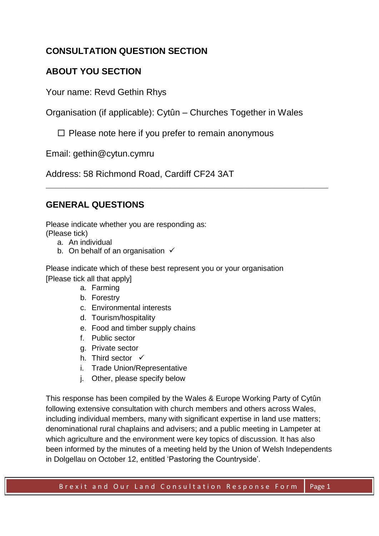# **CONSULTATION QUESTION SECTION**

# **ABOUT YOU SECTION**

Your name: Revd Gethin Rhys

Organisation (if applicable): Cytûn – Churches Together in Wales

**\_\_\_\_\_\_\_\_\_\_\_\_\_\_\_\_\_\_\_\_\_\_\_\_\_\_\_\_\_\_\_\_\_\_\_\_\_\_\_\_\_\_\_\_\_\_\_\_\_\_\_\_\_\_\_\_\_**

 $\Box$  Please note here if you prefer to remain anonymous

Email: gethin@cytun.cymru

Address: 58 Richmond Road, Cardiff CF24 3AT

# **GENERAL QUESTIONS**

Please indicate whether you are responding as: (Please tick)

- a. An individual
- b. On behalf of an organisation  $√$

Please indicate which of these best represent you or your organisation [Please tick all that apply]

- a. Farming
- b. Forestry
- c. Environmental interests
- d. Tourism/hospitality
- e. Food and timber supply chains
- f. Public sector
- g. Private sector
- h. Third sector  $\checkmark$
- i. Trade Union/Representative
- j. Other, please specify below

This response has been compiled by the Wales & Europe Working Party of Cytûn following extensive consultation with church members and others across Wales, including individual members, many with significant expertise in land use matters; denominational rural chaplains and advisers; and a public meeting in Lampeter at which agriculture and the environment were key topics of discussion. It has also been informed by the minutes of a meeting held by the Union of Welsh Independents in Dolgellau on October 12, entitled 'Pastoring the Countryside'.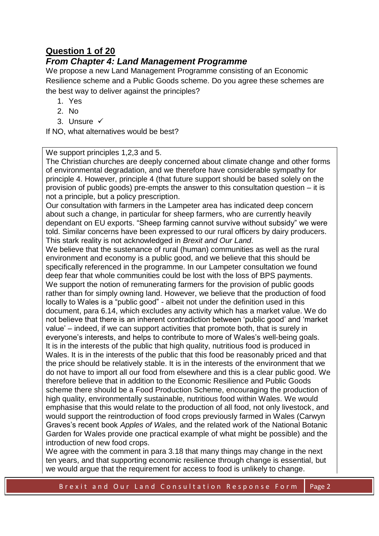# **Question 1 of 20**

# *From Chapter 4: Land Management Programme*

We propose a new Land Management Programme consisting of an Economic Resilience scheme and a Public Goods scheme. Do you agree these schemes are the best way to deliver against the principles?

- 1. Yes
- 2. No
- 3. Unsure √

If NO, what alternatives would be best?

We support principles 1,2,3 and 5.

The Christian churches are deeply concerned about climate change and other forms of environmental degradation, and we therefore have considerable sympathy for principle 4. However, principle 4 (that future support should be based solely on the provision of public goods) pre-empts the answer to this consultation question – it is not a principle, but a policy prescription.

Our consultation with farmers in the Lampeter area has indicated deep concern about such a change, in particular for sheep farmers, who are currently heavily dependant on EU exports. "Sheep farming cannot survive without subsidy" we were told. Similar concerns have been expressed to our rural officers by dairy producers. This stark reality is not acknowledged in *Brexit and Our Land*.

We believe that the sustenance of rural (human) communities as well as the rural environment and economy is a public good, and we believe that this should be specifically referenced in the programme. In our Lampeter consultation we found deep fear that whole communities could be lost with the loss of BPS payments. We support the notion of remunerating farmers for the provision of public goods rather than for simply owning land. However, we believe that the production of food locally to Wales is a "public good" - albeit not under the definition used in this document, para 6.14, which excludes any activity which has a market value. We do not believe that there is an inherent contradiction between 'public good' and 'market value' – indeed, if we can support activities that promote both, that is surely in everyone's interests, and helps to contribute to more of Wales's well-being goals. It is in the interests of the public that high quality, nutritious food is produced in Wales. It is in the interests of the public that this food be reasonably priced and that the price should be relatively stable. It is in the interests of the environment that we do not have to import all our food from elsewhere and this is a clear public good. We therefore believe that in addition to the Economic Resilience and Public Goods scheme there should be a Food Production Scheme, encouraging the production of high quality, environmentally sustainable, nutritious food within Wales. We would emphasise that this would relate to the production of all food, not only livestock, and would support the reintroduction of food crops previously farmed in Wales (Carwyn Graves's recent book *Apples of Wales,* and the related work of the National Botanic Garden for Wales provide one practical example of what might be possible) and the introduction of new food crops.

We agree with the comment in para 3.18 that many things may change in the next ten years, and that supporting economic resilience through change is essential, but we would argue that the requirement for access to food is unlikely to change.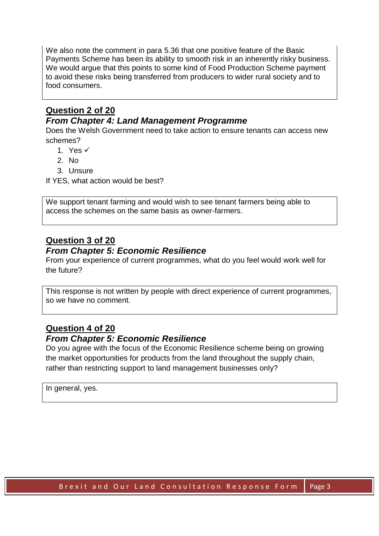We also note the comment in para 5.36 that one positive feature of the Basic Payments Scheme has been its ability to smooth risk in an inherently risky business. We would argue that this points to some kind of Food Production Scheme payment to avoid these risks being transferred from producers to wider rural society and to food consumers.

## **Question 2 of 20**

### *From Chapter 4: Land Management Programme*

Does the Welsh Government need to take action to ensure tenants can access new schemes?

- 1. Yes ✓
- 2. No
- 3. Unsure

If YES, what action would be best?

We support tenant farming and would wish to see tenant farmers being able to access the schemes on the same basis as owner-farmers.

# **Question 3 of 20**

#### *From Chapter 5: Economic Resilience*

From your experience of current programmes, what do you feel would work well for the future?

This response is not written by people with direct experience of current programmes, so we have no comment.

# **Question 4 of 20**

#### *From Chapter 5: Economic Resilience*

Do you agree with the focus of the Economic Resilience scheme being on growing the market opportunities for products from the land throughout the supply chain, rather than restricting support to land management businesses only?

In general, yes.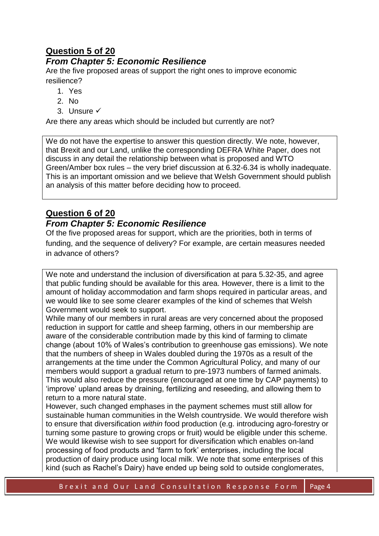# **Question 5 of 20**

# *From Chapter 5: Economic Resilience*

Are the five proposed areas of support the right ones to improve economic resilience?

- 1. Yes
- 2. No
- 3. Unsure √

Are there any areas which should be included but currently are not?

We do not have the expertise to answer this question directly. We note, however, that Brexit and our Land, unlike the corresponding DEFRA White Paper, does not discuss in any detail the relationship between what is proposed and WTO Green/Amber box rules – the very brief discussion at 6.32-6.34 is wholly inadequate. This is an important omission and we believe that Welsh Government should publish an analysis of this matter before deciding how to proceed.

# **Question 6 of 20**

## *From Chapter 5: Economic Resilience*

Of the five proposed areas for support, which are the priorities, both in terms of funding, and the sequence of delivery? For example, are certain measures needed in advance of others?

We note and understand the inclusion of diversification at para 5.32-35, and agree that public funding should be available for this area. However, there is a limit to the amount of holiday accommodation and farm shops required in particular areas, and we would like to see some clearer examples of the kind of schemes that Welsh Government would seek to support.

While many of our members in rural areas are very concerned about the proposed reduction in support for cattle and sheep farming, others in our membership are aware of the considerable contribution made by this kind of farming to climate change (about 10% of Wales's contribution to greenhouse gas emissions). We note that the numbers of sheep in Wales doubled during the 1970s as a result of the arrangements at the time under the Common Agricultural Policy, and many of our members would support a gradual return to pre-1973 numbers of farmed animals. This would also reduce the pressure (encouraged at one time by CAP payments) to 'improve' upland areas by draining, fertilizing and reseeding, and allowing them to return to a more natural state.

However, such changed emphases in the payment schemes must still allow for sustainable human communities in the Welsh countryside. We would therefore wish to ensure that diversification *within* food production (e.g. introducing agro-forestry or turning some pasture to growing crops or fruit) would be eligible under this scheme. We would likewise wish to see support for diversification which enables on-land processing of food products and 'farm to fork' enterprises, including the local production of dairy produce using local milk. We note that some enterprises of this kind (such as Rachel's Dairy) have ended up being sold to outside conglomerates,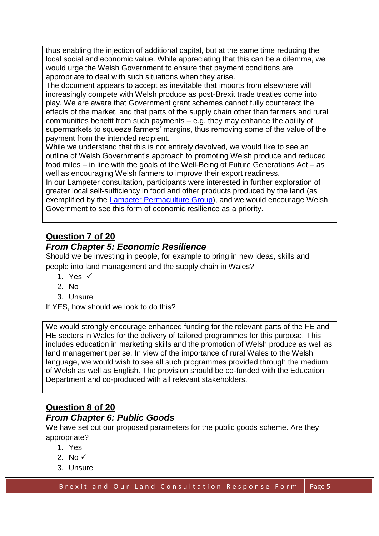thus enabling the injection of additional capital, but at the same time reducing the local social and economic value. While appreciating that this can be a dilemma, we would urge the Welsh Government to ensure that payment conditions are appropriate to deal with such situations when they arise.

The document appears to accept as inevitable that imports from elsewhere will increasingly compete with Welsh produce as post-Brexit trade treaties come into play. We are aware that Government grant schemes cannot fully counteract the effects of the market, and that parts of the supply chain other than farmers and rural communities benefit from such payments – e.g. they may enhance the ability of supermarkets to squeeze farmers' margins, thus removing some of the value of the payment from the intended recipient.

While we understand that this is not entirely devolved, we would like to see an outline of Welsh Government's approach to promoting Welsh produce and reduced food miles – in line with the goals of the Well-Being of Future Generations Act – as well as encouraging Welsh farmers to improve their export readiness.

In our Lampeter consultation, participants were interested in further exploration of greater local self-sufficiency in food and other products produced by the land (as exemplified by the [Lampeter Permaculture Group\)](http://www.lampeterpermaculture.org/), and we would encourage Welsh Government to see this form of economic resilience as a priority.

# **Question 7 of 20**

## *From Chapter 5: Economic Resilience*

Should we be investing in people, for example to bring in new ideas, skills and people into land management and the supply chain in Wales?

- 1. Yes √
- 2. No
- 3. Unsure

If YES, how should we look to do this?

We would strongly encourage enhanced funding for the relevant parts of the FE and HE sectors in Wales for the delivery of tailored programmes for this purpose. This includes education in marketing skills and the promotion of Welsh produce as well as land management per se. In view of the importance of rural Wales to the Welsh language, we would wish to see all such programmes provided through the medium of Welsh as well as English. The provision should be co-funded with the Education Department and co-produced with all relevant stakeholders.

# **Question 8 of 20**

#### *From Chapter 6: Public Goods*

We have set out our proposed parameters for the public goods scheme. Are they appropriate?

- 1. Yes
- 2. No  $\checkmark$
- 3. Unsure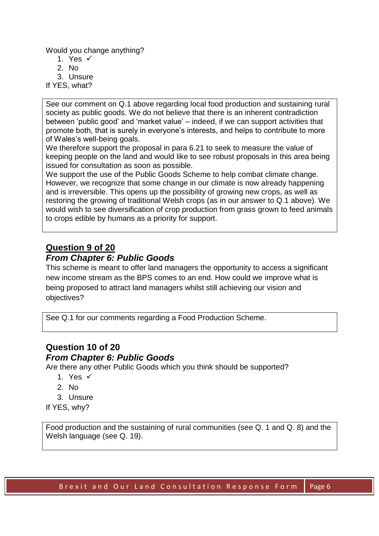Would you change anything?

- 1. Yes ✓
- 2.  $N_0$
- 3. Unsure
- If YES, what?

See our comment on Q.1 above regarding local food production and sustaining rural society as public goods. We do not believe that there is an inherent contradiction between 'public good' and 'market value' – indeed, if we can support activities that promote both, that is surely in everyone's interests, and helps to contribute to more of Wales's well-being goals.

We therefore support the proposal in para 6.21 to seek to measure the value of keeping people on the land and would like to see robust proposals in this area being issued for consultation as soon as possible.

We support the use of the Public Goods Scheme to help combat climate change. However, we recognize that some change in our climate is now already happening and is irreversible. This opens up the possibility of growing new crops, as well as restoring the growing of traditional Welsh crops (as in our answer to Q.1 above). We would wish to see diversification of crop production from grass grown to feed animals to crops edible by humans as a priority for support.

# **Question 9 of 20**

## *From Chapter 6: Public Goods*

This scheme is meant to offer land managers the opportunity to access a significant new income stream as the BPS comes to an end. How could we improve what is being proposed to attract land managers whilst still achieving our vision and objectives?

See Q.1 for our comments regarding a Food Production Scheme.

# **Question 10 of 20**

#### *From Chapter 6: Public Goods*

Are there any other Public Goods which you think should be supported?

- 1. Yes  $\checkmark$
- 2. No
- 3. Unsure
- If YES, why?

Food production and the sustaining of rural communities (see Q. 1 and Q. 8) and the Welsh language (see Q. 19).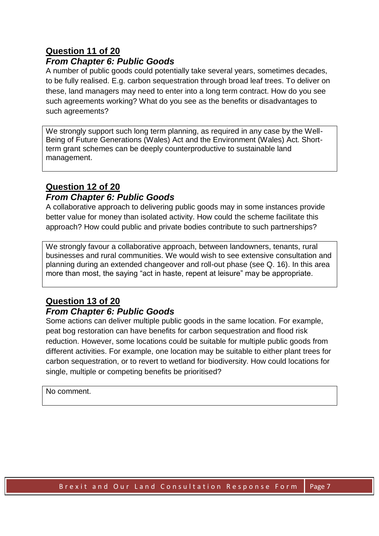# **Question 11 of 20**

### *From Chapter 6: Public Goods*

A number of public goods could potentially take several years, sometimes decades, to be fully realised. E.g. carbon sequestration through broad leaf trees. To deliver on these, land managers may need to enter into a long term contract. How do you see such agreements working? What do you see as the benefits or disadvantages to such agreements?

We strongly support such long term planning, as required in any case by the Well-Being of Future Generations (Wales) Act and the Environment (Wales) Act. Shortterm grant schemes can be deeply counterproductive to sustainable land management.

#### **Question 12 of 20**  *From Chapter 6: Public Goods*

# A collaborative approach to delivering public goods may in some instances provide better value for money than isolated activity. How could the scheme facilitate this

approach? How could public and private bodies contribute to such partnerships?

We strongly favour a collaborative approach, between landowners, tenants, rural businesses and rural communities. We would wish to see extensive consultation and planning during an extended changeover and roll-out phase (see Q. 16). In this area more than most, the saying "act in haste, repent at leisure" may be appropriate.

#### **Question 13 of 20**  *From Chapter 6: Public Goods*

#### Some actions can deliver multiple public goods in the same location. For example, peat bog restoration can have benefits for carbon sequestration and flood risk reduction. However, some locations could be suitable for multiple public goods from different activities. For example, one location may be suitable to either plant trees for carbon sequestration, or to revert to wetland for biodiversity. How could locations for single, multiple or competing benefits be prioritised?

#### No comment.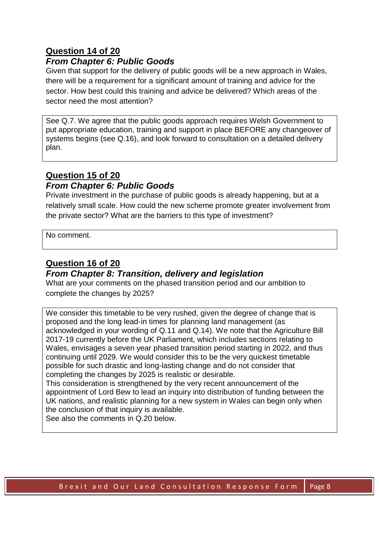## **Question 14 of 20**

### *From Chapter 6: Public Goods*

Given that support for the delivery of public goods will be a new approach in Wales, there will be a requirement for a significant amount of training and advice for the sector. How best could this training and advice be delivered? Which areas of the sector need the most attention?

See Q.7. We agree that the public goods approach requires Welsh Government to put appropriate education, training and support in place BEFORE any changeover of systems begins (see Q.16), and look forward to consultation on a detailed delivery plan.

# **Question 15 of 20**

#### *From Chapter 6: Public Goods*

Private investment in the purchase of public goods is already happening, but at a relatively small scale. How could the new scheme promote greater involvement from the private sector? What are the barriers to this type of investment?

No comment.

## **Question 16 of 20**

#### *From Chapter 8: Transition, delivery and legislation*

What are your comments on the phased transition period and our ambition to complete the changes by 2025?

We consider this timetable to be very rushed, given the degree of change that is proposed and the long lead-in times for planning land management (as acknowledged in your wording of Q.11 and Q.14). We note that the Agriculture Bill 2017-19 currently before the UK Parliament, which includes sections relating to Wales, envisages a seven year phased transition period starting in 2022, and thus continuing until 2029. We would consider this to be the very quickest timetable possible for such drastic and long-lasting change and do not consider that completing the changes by 2025 is realistic or desirable.

This consideration is strengthened by the very recent announcement of the appointment of Lord Bew to lead an inquiry into distribution of funding between the UK nations, and realistic planning for a new system in Wales can begin only when the conclusion of that inquiry is available.

See also the comments in Q.20 below.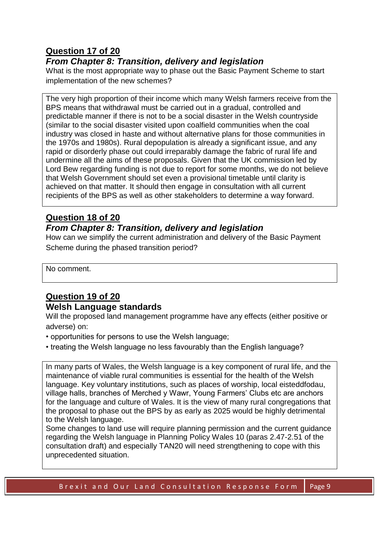# **Question 17 of 20**

## *From Chapter 8: Transition, delivery and legislation*

What is the most appropriate way to phase out the Basic Payment Scheme to start implementation of the new schemes?

The very high proportion of their income which many Welsh farmers receive from the BPS means that withdrawal must be carried out in a gradual, controlled and predictable manner if there is not to be a social disaster in the Welsh countryside (similar to the social disaster visited upon coalfield communities when the coal industry was closed in haste and without alternative plans for those communities in the 1970s and 1980s). Rural depopulation is already a significant issue, and any rapid or disorderly phase out could irreparably damage the fabric of rural life and undermine all the aims of these proposals. Given that the UK commission led by Lord Bew regarding funding is not due to report for some months, we do not believe that Welsh Government should set even a provisional timetable until clarity is achieved on that matter. It should then engage in consultation with all current recipients of the BPS as well as other stakeholders to determine a way forward.

# **Question 18 of 20**

## *From Chapter 8: Transition, delivery and legislation*

How can we simplify the current administration and delivery of the Basic Payment Scheme during the phased transition period?

No comment.

## **Question 19 of 20 Welsh Language standards**

Will the proposed land management programme have any effects (either positive or adverse) on:

- opportunities for persons to use the Welsh language;
- treating the Welsh language no less favourably than the English language?

In many parts of Wales, the Welsh language is a key component of rural life, and the maintenance of viable rural communities is essential for the health of the Welsh language. Key voluntary institutions, such as places of worship, local eisteddfodau, village halls, branches of Merched y Wawr, Young Farmers' Clubs etc are anchors for the language and culture of Wales. It is the view of many rural congregations that the proposal to phase out the BPS by as early as 2025 would be highly detrimental to the Welsh language.

Some changes to land use will require planning permission and the current guidance regarding the Welsh language in Planning Policy Wales 10 (paras 2.47-2.51 of the consultation draft) and especially TAN20 will need strengthening to cope with this unprecedented situation.